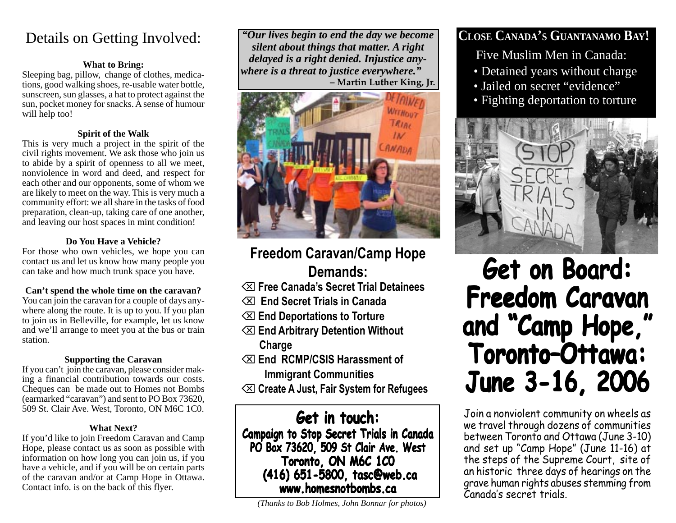## Details on Getting Involved:

### **What to Bring:**

Sleeping bag, pillow, change of clothes, medications, good walking shoes, re-usable water bottle, sunscreen, sun glasses, a hat to protect against the sun, pocket money for snacks. A sense of humour will help too!

### **Spirit of the Walk**

This is very much a project in the spirit of the civil rights movement. We ask those who join us to abide by a spirit of openness to all we meet, nonviolence in word and deed, and respect for each other and our opponents, some of whom we are likely to meet on the way. This is very much a community effort: we all share in the tasks of food preparation, clean-up, taking care of one another, and leaving our host spaces in mint condition!

### **Do You Have a Vehicle?**

For those who own vehicles, we hope you can contact us and let us know how many people you can take and how much trunk space you have.

### **Can't spend the whole time on the caravan?**

You can join the caravan for a couple of days anywhere along the route. It is up to you. If you plan to join us in Belleville, for example, let us know and we'll arrange to meet you at the bus or train station.

### **Supporting the Caravan**

If you can't join the caravan, please consider making a financial contribution towards our costs. Cheques can be made out to Homes not Bombs (earmarked "caravan") and sent to PO Box 73620, 509 St. Clair Ave. West, Toronto, ON M6C 1C0.

### **What Next?**

If you'd like to join Freedom Caravan and Camp Hope, please contact us as soon as possible with information on how long you can join us, if you have a vehicle, and if you will be on certain parts of the caravan and/or at Camp Hope in Ottawa. Contact info. is on the back of this flyer.

*"Our lives begin to end the day we become silent about things that matter. A right delayed is a right denied. Injustice anywhere is a threat to justice everywhere."* **– Martin Luther King, Jr.**



## **Freedom Caravan/Camp Hope Demands:**

- ⌫ **Free Canada's Secret Trial Detainees**
- ⌫ **End Secret Trials in Canada**
- ⌫ **End Deportations to Torture**
- ⌫ **End Arbitrary Detention Without Charge**
- ⌫ **End RCMP/CSIS Harassment of Immigrant Communities**
- ⌫ **Create A Just, Fair System for Refugees**

**Get in touch: in touch: Campaign to Stop Secret Trials in Canada PO Box 73620, 509 St Clair Ave. West Toronto, ON M6C 1C0 (416) 651-5800, tasc@web.ca www.homesnotbombs.ca**

*(Thanks to Bob Holmes, John Bonnar for photos)*

## **CLOSE CANADA'S GUANTANAMO BAY!**

Five Muslim Men in Canada:

- Detained years without charge
- Jailed on secret "evidence"
- Fighting deportation to torture



## **Get on Board: on Board: Freedom Caravan Freedom Caravan and "Camp Hope," and "Camp Hope," Toronto–Ottawa: Toronto–Ottawa: June 3-16, 2006 June 3-16, 2006**

Join a nonviolent community on wheels as we travel through dozens of communities between Toronto and Ottawa (June 3-10) and set up "Camp Hope" (June 11-16) at the steps of the Supreme Court, site of an historic three days of hearings on the grave human rights abuses stemming from Canada's secret trials.